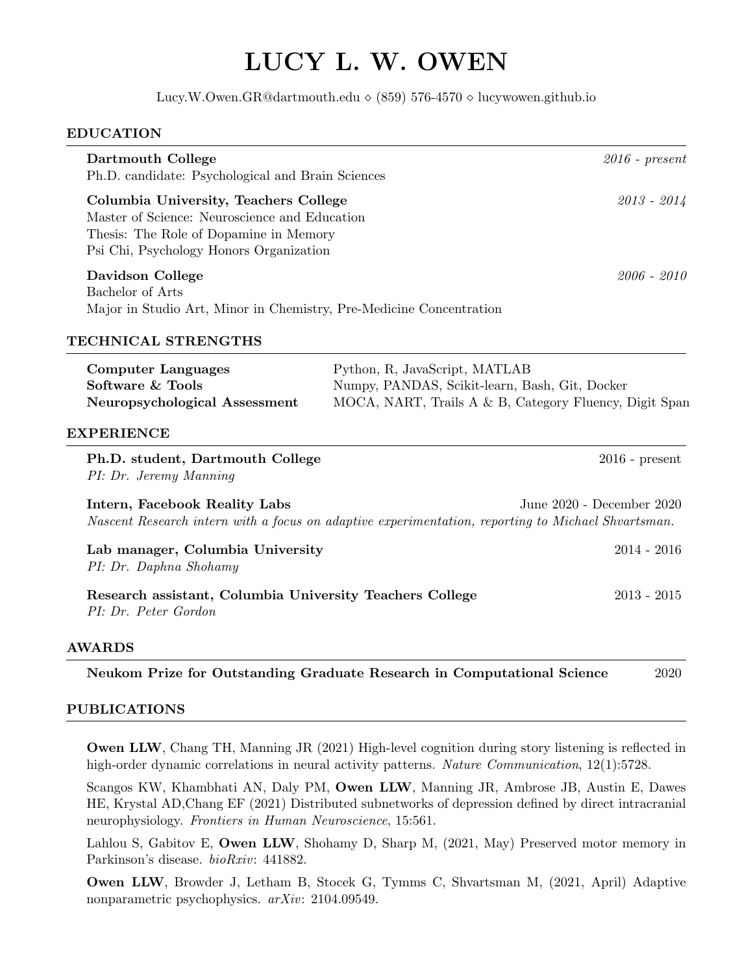# LUCY L. W. OWEN

Lucy.W.Owen.GR@dartmouth.edu  $\Diamond$  (859) 576-4570  $\Diamond$  lucywowen.github.io

#### EDUCATION

| Dartmouth College<br>Ph.D. candidate: Psychological and Brain Sciences                                                                                                      |                                                                                                                                           | $2016$ - $present$        |
|-----------------------------------------------------------------------------------------------------------------------------------------------------------------------------|-------------------------------------------------------------------------------------------------------------------------------------------|---------------------------|
| Columbia University, Teachers College<br>Master of Science: Neuroscience and Education<br>Thesis: The Role of Dopamine in Memory<br>Psi Chi, Psychology Honors Organization |                                                                                                                                           | $2013 - 2014$             |
| <b>Davidson College</b><br>Bachelor of Arts<br>Major in Studio Art, Minor in Chemistry, Pre-Medicine Concentration                                                          |                                                                                                                                           | $2006 - 2010$             |
| TECHNICAL STRENGTHS                                                                                                                                                         |                                                                                                                                           |                           |
| <b>Computer Languages</b><br>Software & Tools<br>Neuropsychological Assessment<br><b>EXPERIENCE</b>                                                                         | Python, R, JavaScript, MATLAB<br>Numpy, PANDAS, Scikit-learn, Bash, Git, Docker<br>MOCA, NART, Trails A & B, Category Fluency, Digit Span |                           |
| Ph.D. student, Dartmouth College<br>PI: Dr. Jeremy Manning                                                                                                                  |                                                                                                                                           | $2016$ - present          |
| Intern, Facebook Reality Labs<br>Nascent Research intern with a focus on adaptive experimentation, reporting to Michael Shvartsman.                                         |                                                                                                                                           | June 2020 - December 2020 |
| Lab manager, Columbia University<br>PI: Dr. Daphna Shohamy                                                                                                                  |                                                                                                                                           | $2014 - 2016$             |
| Research assistant, Columbia University Teachers College<br>PI: Dr. Peter Gordon                                                                                            |                                                                                                                                           | $2013 - 2015$             |
| <b>AWARDS</b>                                                                                                                                                               |                                                                                                                                           |                           |
| Neukom Prize for Outstanding Graduate Research in Computational Science                                                                                                     |                                                                                                                                           | 2020                      |

## PUBLICATIONS

Owen LLW, Chang TH, Manning JR (2021) High-level cognition during story listening is reflected in high-order dynamic correlations in neural activity patterns. Nature Communication, 12(1):5728.

Scangos KW, Khambhati AN, Daly PM, Owen LLW, Manning JR, Ambrose JB, Austin E, Dawes HE, Krystal AD,Chang EF (2021) Distributed subnetworks of depression defined by direct intracranial neurophysiology. Frontiers in Human Neuroscience, 15:561.

Lahlou S, Gabitov E, Owen LLW, Shohamy D, Sharp M, (2021, May) Preserved motor memory in Parkinson's disease. bioRxiv: 441882.

Owen LLW, Browder J, Letham B, Stocek G, Tymms C, Shvartsman M, (2021, April) Adaptive nonparametric psychophysics. arXiv: 2104.09549.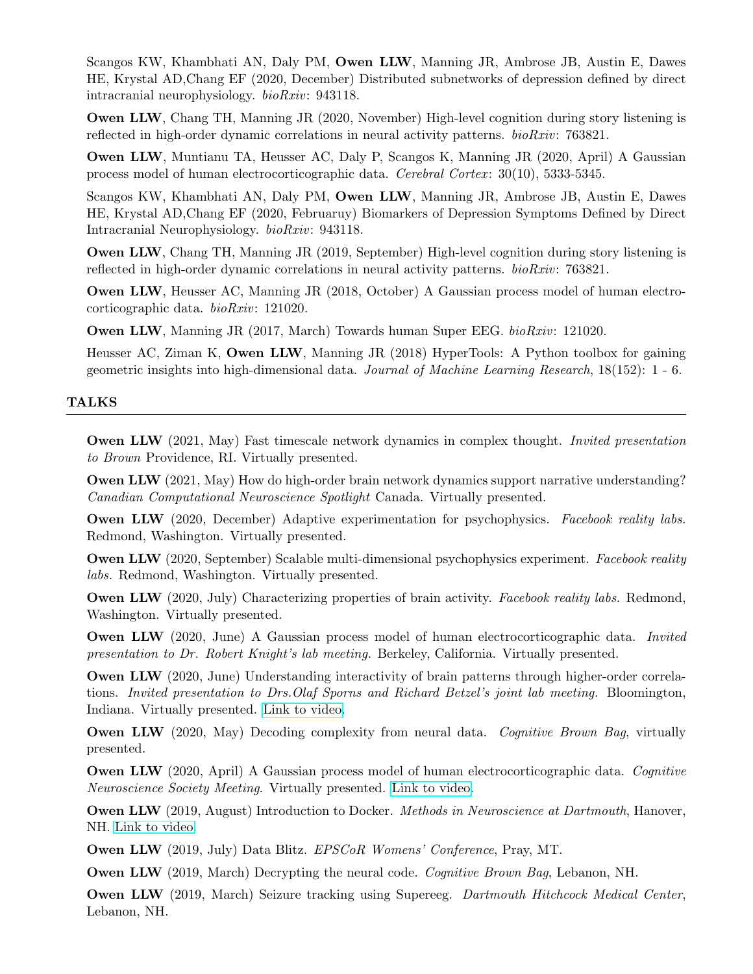Scangos KW, Khambhati AN, Daly PM, Owen LLW, Manning JR, Ambrose JB, Austin E, Dawes HE, Krystal AD,Chang EF (2020, December) Distributed subnetworks of depression defined by direct intracranial neurophysiology. bioRxiv: 943118.

Owen LLW, Chang TH, Manning JR (2020, November) High-level cognition during story listening is reflected in high-order dynamic correlations in neural activity patterns. *bioRxiv*: 763821.

Owen LLW, Muntianu TA, Heusser AC, Daly P, Scangos K, Manning JR (2020, April) A Gaussian process model of human electrocorticographic data. Cerebral Cortex : 30(10), 5333-5345.

Scangos KW, Khambhati AN, Daly PM, Owen LLW, Manning JR, Ambrose JB, Austin E, Dawes HE, Krystal AD,Chang EF (2020, Februaruy) Biomarkers of Depression Symptoms Defined by Direct Intracranial Neurophysiology. bioRxiv: 943118.

Owen LLW, Chang TH, Manning JR (2019, September) High-level cognition during story listening is reflected in high-order dynamic correlations in neural activity patterns. *bioRxiv*: 763821.

Owen LLW, Heusser AC, Manning JR (2018, October) A Gaussian process model of human electrocorticographic data. bioRxiv: 121020.

Owen LLW, Manning JR (2017, March) Towards human Super EEG. bioRxiv: 121020.

Heusser AC, Ziman K, Owen LLW, Manning JR (2018) HyperTools: A Python toolbox for gaining geometric insights into high-dimensional data. Journal of Machine Learning Research, 18(152): 1 - 6.

#### TALKS

Owen LLW (2021, May) Fast timescale network dynamics in complex thought. Invited presentation to Brown Providence, RI. Virtually presented.

Owen LLW (2021, May) How do high-order brain network dynamics support narrative understanding? Canadian Computational Neuroscience Spotlight Canada. Virtually presented.

**Owen LLW** (2020, December) Adaptive experimentation for psychophysics. Facebook reality labs. Redmond, Washington. Virtually presented.

Owen LLW (2020, September) Scalable multi-dimensional psychophysics experiment. Facebook reality labs. Redmond, Washington. Virtually presented.

Owen LLW (2020, July) Characterizing properties of brain activity. Facebook reality labs. Redmond, Washington. Virtually presented.

Owen LLW (2020, June) A Gaussian process model of human electrocorticographic data. Invited presentation to Dr. Robert Knight's lab meeting. Berkeley, California. Virtually presented.

Owen LLW (2020, June) Understanding interactivity of brain patterns through higher-order correlations. Invited presentation to Drs.Olaf Sporns and Richard Betzel's joint lab meeting. Bloomington, Indiana. Virtually presented. [Link to video.](https://www.youtube.com/watch?v=y1HYFXVJ5to&feature=youtu.be)

**Owen LLW** (2020, May) Decoding complexity from neural data. Cognitive Brown Bag, virtually presented.

**Owen LLW** (2020, April) A Gaussian process model of human electrocorticographic data. Cognitive Neuroscience Society Meeting. Virtually presented. [Link to video.](https://www.youtube.com/watch?v=IsHQsj2eFgs&feature=youtu.be)

Owen LLW (2019, August) Introduction to Docker. Methods in Neuroscience at Dartmouth, Hanover, NH. [Link to video.](https://www.youtube.com/watch?v=SbMjYHo-c8c)

Owen LLW (2019, July) Data Blitz. EPSCoR Womens' Conference, Pray, MT.

**Owen LLW** (2019, March) Decrypting the neural code. *Cognitive Brown Bag*, Lebanon, NH.

Owen LLW (2019, March) Seizure tracking using Supereeg. Dartmouth Hitchcock Medical Center, Lebanon, NH.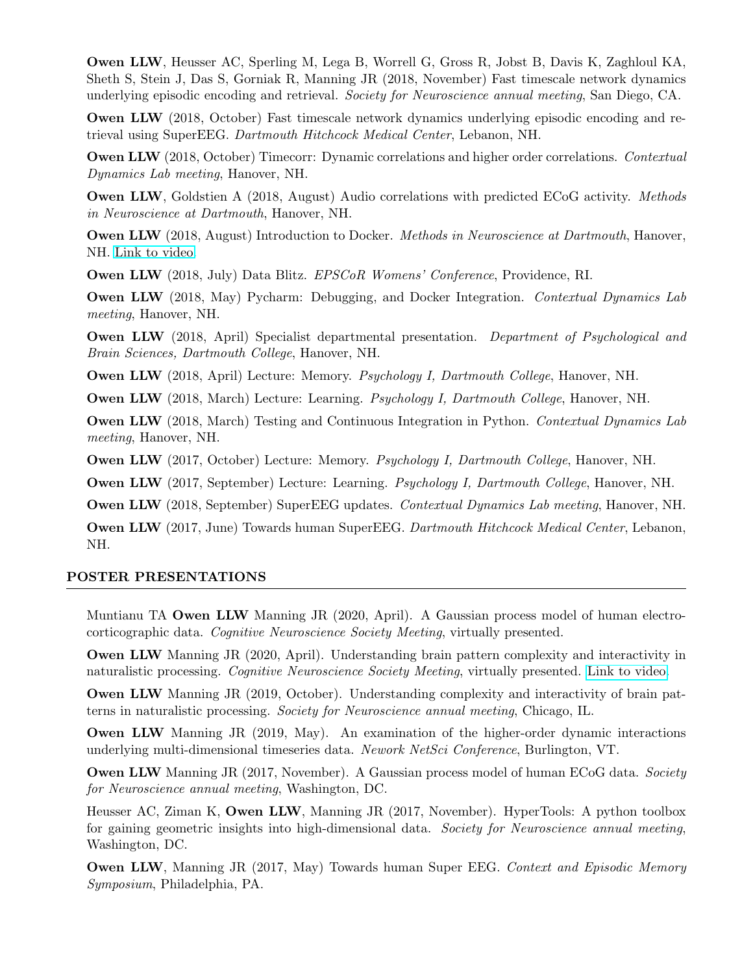Owen LLW, Heusser AC, Sperling M, Lega B, Worrell G, Gross R, Jobst B, Davis K, Zaghloul KA, Sheth S, Stein J, Das S, Gorniak R, Manning JR (2018, November) Fast timescale network dynamics underlying episodic encoding and retrieval. Society for Neuroscience annual meeting, San Diego, CA.

Owen LLW (2018, October) Fast timescale network dynamics underlying episodic encoding and retrieval using SuperEEG. Dartmouth Hitchcock Medical Center, Lebanon, NH.

Owen LLW (2018, October) Timecorr: Dynamic correlations and higher order correlations. Contextual Dynamics Lab meeting, Hanover, NH.

**Owen LLW**, Goldstien A (2018, August) Audio correlations with predicted ECoG activity. Methods in Neuroscience at Dartmouth, Hanover, NH.

Owen LLW (2018, August) Introduction to Docker. Methods in Neuroscience at Dartmouth, Hanover, NH. [Link to video.](https://www.youtube.com/watch?v=hUvYdXo5MfU)

Owen LLW (2018, July) Data Blitz. EPSCoR Womens' Conference, Providence, RI.

Owen LLW (2018, May) Pycharm: Debugging, and Docker Integration. Contextual Dynamics Lab meeting, Hanover, NH.

Owen LLW (2018, April) Specialist departmental presentation. Department of Psychological and Brain Sciences, Dartmouth College, Hanover, NH.

Owen LLW (2018, April) Lecture: Memory. Psychology I, Dartmouth College, Hanover, NH.

Owen LLW (2018, March) Lecture: Learning. Psychology I, Dartmouth College, Hanover, NH.

Owen LLW (2018, March) Testing and Continuous Integration in Python. Contextual Dynamics Lab meeting, Hanover, NH.

Owen LLW (2017, October) Lecture: Memory. Psychology I, Dartmouth College, Hanover, NH.

Owen LLW (2017, September) Lecture: Learning. Psychology I, Dartmouth College, Hanover, NH.

Owen LLW (2018, September) SuperEEG updates. Contextual Dynamics Lab meeting, Hanover, NH.

Owen LLW (2017, June) Towards human SuperEEG. Dartmouth Hitchcock Medical Center, Lebanon, NH.

#### POSTER PRESENTATIONS

Muntianu TA Owen LLW Manning JR (2020, April). A Gaussian process model of human electrocorticographic data. Cognitive Neuroscience Society Meeting, virtually presented.

Owen LLW Manning JR (2020, April). Understanding brain pattern complexity and interactivity in naturalistic processing. Cognitive Neuroscience Society Meeting, virtually presented. [Link to video.](https://www.youtube.com/watch?v=4GiBAb8WsqI)

Owen LLW Manning JR (2019, October). Understanding complexity and interactivity of brain patterns in naturalistic processing. Society for Neuroscience annual meeting, Chicago, IL.

Owen LLW Manning JR (2019, May). An examination of the higher-order dynamic interactions underlying multi-dimensional timeseries data. Nework NetSci Conference, Burlington, VT.

Owen LLW Manning JR (2017, November). A Gaussian process model of human ECoG data. Society for Neuroscience annual meeting, Washington, DC.

Heusser AC, Ziman K, Owen LLW, Manning JR (2017, November). HyperTools: A python toolbox for gaining geometric insights into high-dimensional data. Society for Neuroscience annual meeting, Washington, DC.

**Owen LLW**, Manning JR (2017, May) Towards human Super EEG. Context and Episodic Memory Symposium, Philadelphia, PA.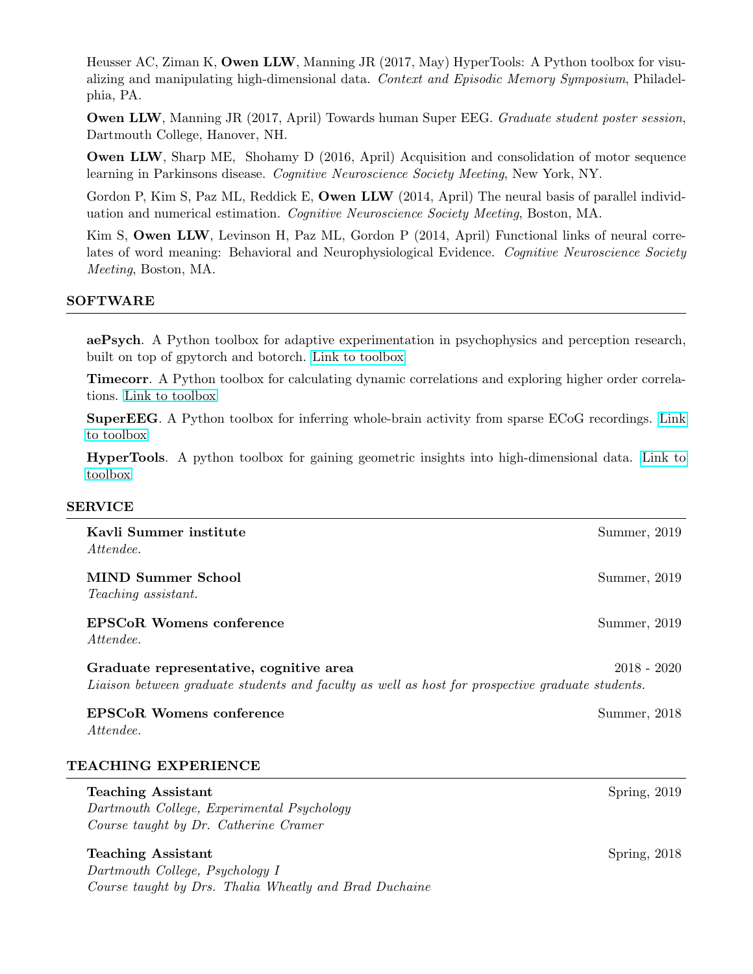Heusser AC, Ziman K, Owen LLW, Manning JR (2017, May) HyperTools: A Python toolbox for visualizing and manipulating high-dimensional data. Context and Episodic Memory Symposium, Philadelphia, PA.

Owen LLW, Manning JR (2017, April) Towards human Super EEG. Graduate student poster session, Dartmouth College, Hanover, NH.

Owen LLW, Sharp ME, Shohamy D (2016, April) Acquisition and consolidation of motor sequence learning in Parkinsons disease. Cognitive Neuroscience Society Meeting, New York, NY.

Gordon P, Kim S, Paz ML, Reddick E, **Owen LLW** (2014, April) The neural basis of parallel individuation and numerical estimation. Cognitive Neuroscience Society Meeting, Boston, MA.

Kim S, Owen LLW, Levinson H, Paz ML, Gordon P (2014, April) Functional links of neural correlates of word meaning: Behavioral and Neurophysiological Evidence. Cognitive Neuroscience Society Meeting, Boston, MA.

### SOFTWARE

aePsych. A Python toolbox for adaptive experimentation in psychophysics and perception research, built on top of gpytorch and botorch. [Link to toolbox](https://github.com/facebookresearch/aepsych)

Timecorr. A Python toolbox for calculating dynamic correlations and exploring higher order correlations. [Link to toolbox](https://timecorr.readthedocs.io)

SuperEEG. A Python toolbox for inferring whole-brain activity from sparse ECoG recordings. [Link](https://supereeg.readthedocs.io) [to toolbox](https://supereeg.readthedocs.io)

HyperTools. A python toolbox for gaining geometric insights into high-dimensional data. [Link to](https://hypertools.readthedocs.io) [toolbox](https://hypertools.readthedocs.io)

#### SERVICE

| Kavli Summer institute<br>Attendee.                                                                                                         | Summer, 2019  |
|---------------------------------------------------------------------------------------------------------------------------------------------|---------------|
| MIND Summer School<br><i>Teaching assistant.</i>                                                                                            | Summer, 2019  |
| <b>EPSCoR Womens conference</b><br>Attendee.                                                                                                | Summer, 2019  |
| Graduate representative, cognitive area<br>Liaison between graduate students and faculty as well as host for prospective graduate students. | $2018 - 2020$ |
| EPSCoR Womens conference<br>Attendee.                                                                                                       | Summer, 2018  |
| TEACHING EXPERIENCE                                                                                                                         |               |

## Teaching Assistant Spring, 2019

Dartmouth College, Experimental Psychology Course taught by Dr. Catherine Cramer

#### Teaching Assistant Spring, 2018

Dartmouth College, Psychology I Course taught by Drs. Thalia Wheatly and Brad Duchaine